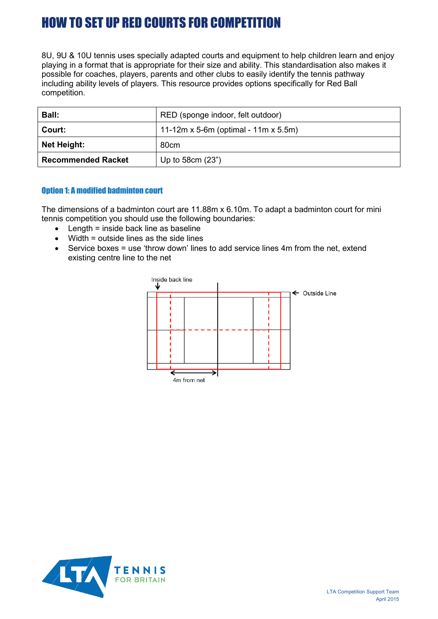# HOW TO SET UP RED COURTS FOR COMPETITION

8U, 9U & 10U tennis uses specially adapted courts and equipment to help children learn and enjoy playing in a format that is appropriate for their size and ability. This standardisation also makes it possible for coaches, players, parents and other clubs to easily identify the tennis pathway including ability levels of players. This resource provides options specifically for Red Ball competition.

| <b>Ball:</b>              | RED (sponge indoor, felt outdoor)    |
|---------------------------|--------------------------------------|
| Court:                    | 11-12m x 5-6m (optimal - 11m x 5.5m) |
| Net Height:               | 80cm                                 |
| <b>Recommended Racket</b> | Up to $58cm(23")$                    |

### Option 1: A modified badminton court

The dimensions of a badminton court are 11.88m x 6.10m. To adapt a badminton court for mini tennis competition you should use the following boundaries:

- Length = inside back line as baseline
- Width = outside lines as the side lines
- Service boxes = use 'throw down' lines to add service lines 4m from the net, extend existing centre line to the net